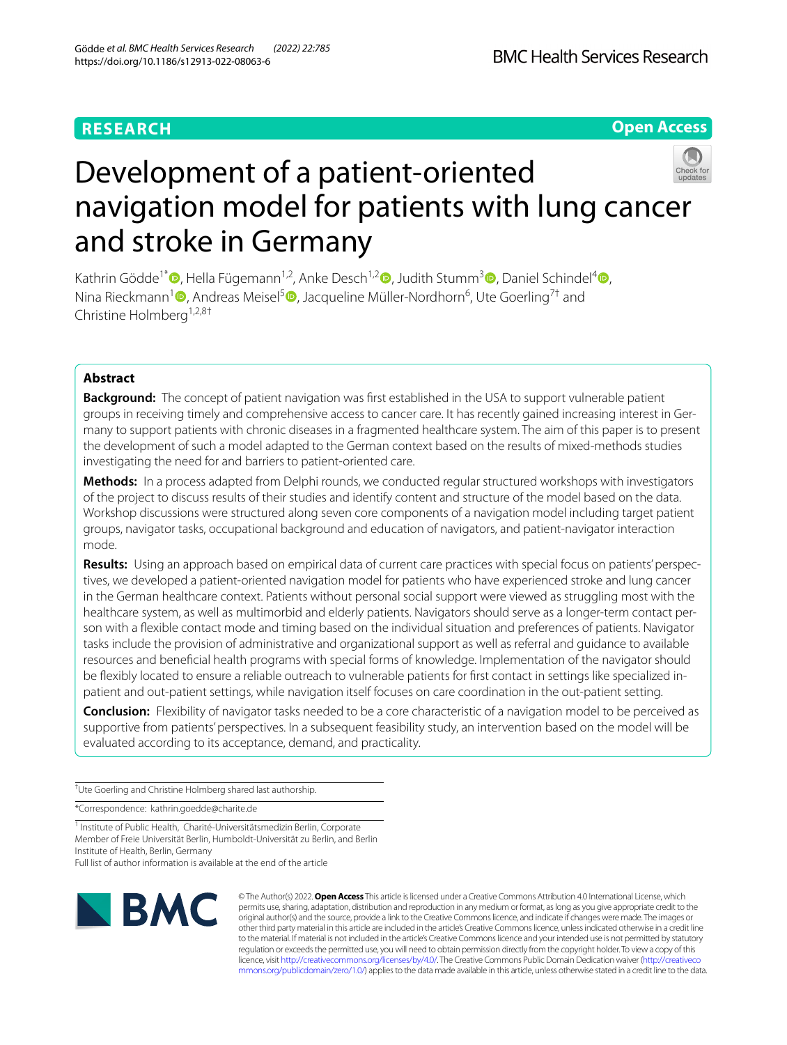# **RESEARCH**

**Open Access**



Kathrin Gödde<sup>1\*</sup> [,](http://orcid.org/0000-0003-3351-8378) Hella Fügemann<sup>1,2</sup>, Anke Desch<sup>1,2</sup> , Judith Stumm<sup>[3](http://orcid.org/0000-0001-5815-5353)</sup> , Daniel Schindel<sup>4</sup> , Nina Rieckmann<sup>1</sup><sup>®</sup>[,](http://orcid.org/0000-0002-6870-451X) Andreas Meisel<sup>5</sup>®[,](http://orcid.org/0000-0001-7233-5342) Jacqueline Müller-Nordhorn<sup>6</sup>, Ute Goerling<sup>7†</sup> and Christine Holmberg<sup>1,2,8†</sup>

# **Abstract**

**Background:** The concept of patient navigation was first established in the USA to support vulnerable patient groups in receiving timely and comprehensive access to cancer care. It has recently gained increasing interest in Germany to support patients with chronic diseases in a fragmented healthcare system. The aim of this paper is to present the development of such a model adapted to the German context based on the results of mixed-methods studies investigating the need for and barriers to patient-oriented care.

**Methods:** In a process adapted from Delphi rounds, we conducted regular structured workshops with investigators of the project to discuss results of their studies and identify content and structure of the model based on the data. Workshop discussions were structured along seven core components of a navigation model including target patient groups, navigator tasks, occupational background and education of navigators, and patient-navigator interaction mode.

**Results:** Using an approach based on empirical data of current care practices with special focus on patients' perspec‑ tives, we developed a patient-oriented navigation model for patients who have experienced stroke and lung cancer in the German healthcare context. Patients without personal social support were viewed as struggling most with the healthcare system, as well as multimorbid and elderly patients. Navigators should serve as a longer-term contact person with a fexible contact mode and timing based on the individual situation and preferences of patients. Navigator tasks include the provision of administrative and organizational support as well as referral and guidance to available resources and benefcial health programs with special forms of knowledge. Implementation of the navigator should be fexibly located to ensure a reliable outreach to vulnerable patients for frst contact in settings like specialized inpatient and out-patient settings, while navigation itself focuses on care coordination in the out-patient setting.

**Conclusion:** Flexibility of navigator tasks needed to be a core characteristic of a navigation model to be perceived as supportive from patients' perspectives. In a subsequent feasibility study, an intervention based on the model will be evaluated according to its acceptance, demand, and practicality.

† Ute Goerling and Christine Holmberg shared last authorship.

\*Correspondence: kathrin.goedde@charite.de

<sup>1</sup> Institute of Public Health, Charité-Universitätsmedizin Berlin, Corporate Member of Freie Universität Berlin, Humboldt-Universität zu Berlin, and Berlin Institute of Health, Berlin, Germany Full list of author information is available at the end of the article



© The Author(s) 2022. **Open Access** This article is licensed under a Creative Commons Attribution 4.0 International License, which permits use, sharing, adaptation, distribution and reproduction in any medium or format, as long as you give appropriate credit to the original author(s) and the source, provide a link to the Creative Commons licence, and indicate if changes were made. The images or other third party material in this article are included in the article's Creative Commons licence, unless indicated otherwise in a credit line to the material. If material is not included in the article's Creative Commons licence and your intended use is not permitted by statutory regulation or exceeds the permitted use, you will need to obtain permission directly from the copyright holder. To view a copy of this licence, visit [http://creativecommons.org/licenses/by/4.0/.](http://creativecommons.org/licenses/by/4.0/) The Creative Commons Public Domain Dedication waiver ([http://creativeco](http://creativecommons.org/publicdomain/zero/1.0/) [mmons.org/publicdomain/zero/1.0/](http://creativecommons.org/publicdomain/zero/1.0/)) applies to the data made available in this article, unless otherwise stated in a credit line to the data.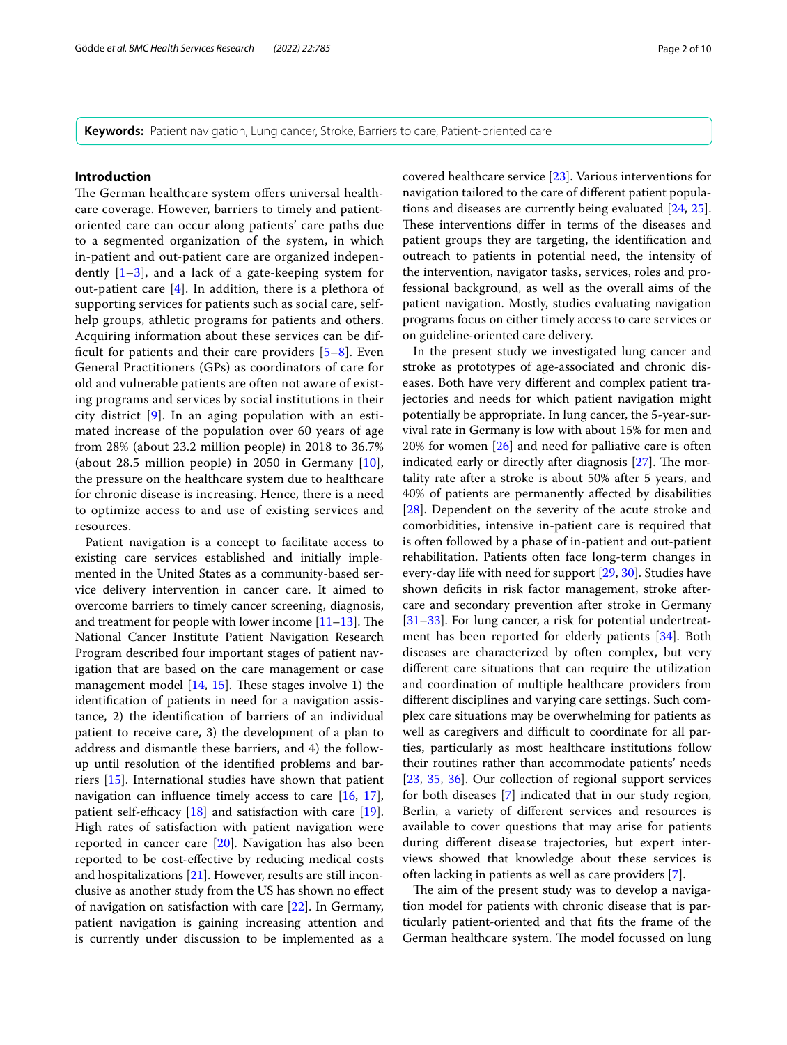**Keywords:** Patient navigation, Lung cancer, Stroke, Barriers to care, Patient-oriented care

## **Introduction**

The German healthcare system offers universal healthcare coverage. However, barriers to timely and patientoriented care can occur along patients' care paths due to a segmented organization of the system, in which in-patient and out-patient care are organized independently  $[1-3]$  $[1-3]$ , and a lack of a gate-keeping system for out-patient care [[4](#page-8-2)]. In addition, there is a plethora of supporting services for patients such as social care, selfhelp groups, athletic programs for patients and others. Acquiring information about these services can be difficult for patients and their care providers  $[5-8]$  $[5-8]$  $[5-8]$ . Even General Practitioners (GPs) as coordinators of care for old and vulnerable patients are often not aware of existing programs and services by social institutions in their city district [\[9](#page-8-5)]. In an aging population with an estimated increase of the population over 60 years of age from 28% (about 23.2 million people) in 2018 to 36.7% (about 28.5 million people) in 2050 in Germany [[10\]](#page-8-6), the pressure on the healthcare system due to healthcare for chronic disease is increasing. Hence, there is a need to optimize access to and use of existing services and resources.

Patient navigation is a concept to facilitate access to existing care services established and initially implemented in the United States as a community-based service delivery intervention in cancer care. It aimed to overcome barriers to timely cancer screening, diagnosis, and treatment for people with lower income  $[11-13]$  $[11-13]$  $[11-13]$ . The National Cancer Institute Patient Navigation Research Program described four important stages of patient navigation that are based on the care management or case management model  $[14, 15]$  $[14, 15]$  $[14, 15]$  $[14, 15]$ . These stages involve 1) the identifcation of patients in need for a navigation assistance, 2) the identifcation of barriers of an individual patient to receive care, 3) the development of a plan to address and dismantle these barriers, and 4) the followup until resolution of the identifed problems and barriers [[15\]](#page-8-10). International studies have shown that patient navigation can infuence timely access to care [\[16](#page-8-11), [17](#page-8-12)], patient self-efficacy  $[18]$  $[18]$  and satisfaction with care  $[19]$  $[19]$ . High rates of satisfaction with patient navigation were reported in cancer care [\[20](#page-8-15)]. Navigation has also been reported to be cost-efective by reducing medical costs and hospitalizations [\[21](#page-8-16)]. However, results are still inconclusive as another study from the US has shown no efect of navigation on satisfaction with care [[22](#page-8-17)]. In Germany, patient navigation is gaining increasing attention and is currently under discussion to be implemented as a covered healthcare service [\[23](#page-8-18)]. Various interventions for navigation tailored to the care of diferent patient populations and diseases are currently being evaluated [\[24](#page-8-19), [25](#page-8-20)]. These interventions differ in terms of the diseases and patient groups they are targeting, the identifcation and outreach to patients in potential need, the intensity of the intervention, navigator tasks, services, roles and professional background, as well as the overall aims of the patient navigation. Mostly, studies evaluating navigation programs focus on either timely access to care services or on guideline-oriented care delivery.

In the present study we investigated lung cancer and stroke as prototypes of age-associated and chronic diseases. Both have very diferent and complex patient trajectories and needs for which patient navigation might potentially be appropriate. In lung cancer, the 5-year-survival rate in Germany is low with about 15% for men and 20% for women [[26\]](#page-8-21) and need for palliative care is often indicated early or directly after diagnosis  $[27]$  $[27]$ . The mortality rate after a stroke is about 50% after 5 years, and 40% of patients are permanently afected by disabilities [[28\]](#page-8-23). Dependent on the severity of the acute stroke and comorbidities, intensive in-patient care is required that is often followed by a phase of in-patient and out-patient rehabilitation. Patients often face long-term changes in every-day life with need for support [\[29,](#page-8-24) [30](#page-8-25)]. Studies have shown deficits in risk factor management, stroke aftercare and secondary prevention after stroke in Germany [[31–](#page-9-0)[33\]](#page-9-1). For lung cancer, a risk for potential undertreatment has been reported for elderly patients [\[34](#page-9-2)]. Both diseases are characterized by often complex, but very diferent care situations that can require the utilization and coordination of multiple healthcare providers from diferent disciplines and varying care settings. Such complex care situations may be overwhelming for patients as well as caregivers and difficult to coordinate for all parties, particularly as most healthcare institutions follow their routines rather than accommodate patients' needs [[23,](#page-8-18) [35](#page-9-3), [36](#page-9-4)]. Our collection of regional support services for both diseases [\[7](#page-8-26)] indicated that in our study region, Berlin, a variety of diferent services and resources is available to cover questions that may arise for patients during diferent disease trajectories, but expert interviews showed that knowledge about these services is often lacking in patients as well as care providers [[7\]](#page-8-26).

The aim of the present study was to develop a navigation model for patients with chronic disease that is particularly patient-oriented and that fts the frame of the German healthcare system. The model focussed on lung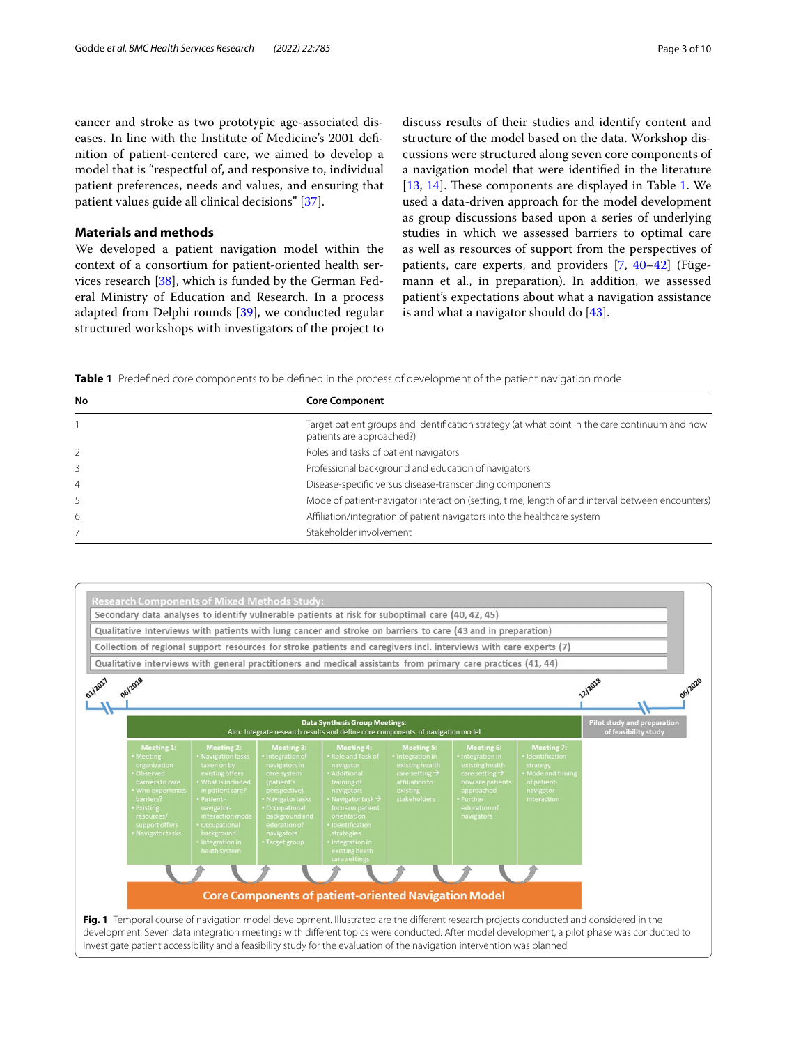cancer and stroke as two prototypic age-associated diseases. In line with the Institute of Medicine's 2001 defnition of patient-centered care, we aimed to develop a model that is "respectful of, and responsive to, individual patient preferences, needs and values, and ensuring that patient values guide all clinical decisions" [\[37](#page-9-5)].

## **Materials and methods**

We developed a patient navigation model within the context of a consortium for patient-oriented health services research [\[38\]](#page-9-6), which is funded by the German Federal Ministry of Education and Research. In a process adapted from Delphi rounds [[39\]](#page-9-7), we conducted regular structured workshops with investigators of the project to

discuss results of their studies and identify content and structure of the model based on the data. Workshop discussions were structured along seven core components of a navigation model that were identifed in the literature [[13,](#page-8-8) [14\]](#page-8-9). These components are displayed in Table [1.](#page-2-0) We used a data-driven approach for the model development as group discussions based upon a series of underlying studies in which we assessed barriers to optimal care as well as resources of support from the perspectives of patients, care experts, and providers [[7,](#page-8-26) [40](#page-9-8)-42] (Fügemann et al., in preparation). In addition, we assessed patient's expectations about what a navigation assistance is and what a navigator should do [\[43](#page-9-10)].

<span id="page-2-0"></span>**Table 1** Predefined core components to be defined in the process of development of the patient navigation model

| No             | <b>Core Component</b>                                                                                                       |
|----------------|-----------------------------------------------------------------------------------------------------------------------------|
|                | Target patient groups and identification strategy (at what point in the care continuum and how<br>patients are approached?) |
|                | Roles and tasks of patient navigators                                                                                       |
|                | Professional background and education of navigators                                                                         |
| $\overline{4}$ | Disease-specific versus disease-transcending components                                                                     |
|                | Mode of patient-navigator interaction (setting, time, length of and interval between encounters)                            |
| 6              | Affiliation/integration of patient navigators into the healthcare system                                                    |
|                | Stakeholder involvement                                                                                                     |

<span id="page-2-1"></span>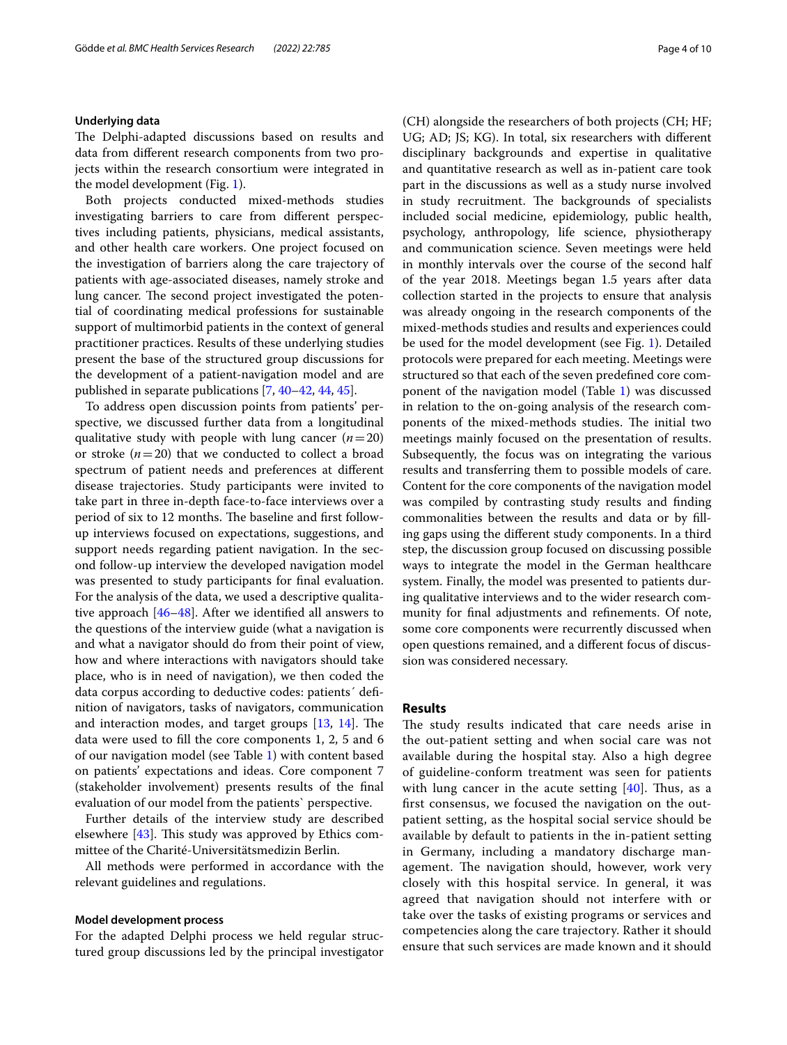#### **Underlying data**

The Delphi-adapted discussions based on results and data from diferent research components from two projects within the research consortium were integrated in the model development (Fig. [1\)](#page-2-1).

Both projects conducted mixed-methods studies investigating barriers to care from diferent perspectives including patients, physicians, medical assistants, and other health care workers. One project focused on the investigation of barriers along the care trajectory of patients with age-associated diseases, namely stroke and lung cancer. The second project investigated the potential of coordinating medical professions for sustainable support of multimorbid patients in the context of general practitioner practices. Results of these underlying studies present the base of the structured group discussions for the development of a patient-navigation model and are published in separate publications [\[7](#page-8-26), [40–](#page-9-8)[42](#page-9-9), [44,](#page-9-11) [45](#page-9-12)].

To address open discussion points from patients' perspective, we discussed further data from a longitudinal qualitative study with people with lung cancer  $(n=20)$ or stroke  $(n=20)$  that we conducted to collect a broad spectrum of patient needs and preferences at diferent disease trajectories. Study participants were invited to take part in three in-depth face-to-face interviews over a period of six to 12 months. The baseline and first followup interviews focused on expectations, suggestions, and support needs regarding patient navigation. In the second follow-up interview the developed navigation model was presented to study participants for fnal evaluation. For the analysis of the data, we used a descriptive qualitative approach [[46–](#page-9-13)[48\]](#page-9-14). After we identifed all answers to the questions of the interview guide (what a navigation is and what a navigator should do from their point of view, how and where interactions with navigators should take place, who is in need of navigation), we then coded the data corpus according to deductive codes: patients´ defnition of navigators, tasks of navigators, communication and interaction modes, and target groups  $[13, 14]$  $[13, 14]$  $[13, 14]$ . The data were used to fll the core components 1, 2, 5 and 6 of our navigation model (see Table [1](#page-2-0)) with content based on patients' expectations and ideas. Core component 7 (stakeholder involvement) presents results of the fnal evaluation of our model from the patients` perspective.

Further details of the interview study are described elsewhere  $[43]$  $[43]$  $[43]$ . This study was approved by Ethics committee of the Charité-Universitätsmedizin Berlin.

All methods were performed in accordance with the relevant guidelines and regulations.

#### **Model development process**

For the adapted Delphi process we held regular structured group discussions led by the principal investigator (CH) alongside the researchers of both projects (CH; HF; UG; AD; JS; KG). In total, six researchers with diferent disciplinary backgrounds and expertise in qualitative and quantitative research as well as in-patient care took part in the discussions as well as a study nurse involved in study recruitment. The backgrounds of specialists included social medicine, epidemiology, public health, psychology, anthropology, life science, physiotherapy and communication science. Seven meetings were held in monthly intervals over the course of the second half of the year 2018. Meetings began 1.5 years after data collection started in the projects to ensure that analysis was already ongoing in the research components of the mixed-methods studies and results and experiences could be used for the model development (see Fig. [1\)](#page-2-1). Detailed protocols were prepared for each meeting. Meetings were structured so that each of the seven predefned core component of the navigation model (Table [1](#page-2-0)) was discussed in relation to the on-going analysis of the research components of the mixed-methods studies. The initial two meetings mainly focused on the presentation of results. Subsequently, the focus was on integrating the various results and transferring them to possible models of care. Content for the core components of the navigation model was compiled by contrasting study results and fnding commonalities between the results and data or by flling gaps using the diferent study components. In a third step, the discussion group focused on discussing possible ways to integrate the model in the German healthcare system. Finally, the model was presented to patients during qualitative interviews and to the wider research community for fnal adjustments and refnements. Of note, some core components were recurrently discussed when open questions remained, and a diferent focus of discussion was considered necessary.

## **Results**

The study results indicated that care needs arise in the out-patient setting and when social care was not available during the hospital stay. Also a high degree of guideline-conform treatment was seen for patients with lung cancer in the acute setting  $[40]$ . Thus, as a frst consensus, we focused the navigation on the outpatient setting, as the hospital social service should be available by default to patients in the in-patient setting in Germany, including a mandatory discharge management. The navigation should, however, work very closely with this hospital service. In general, it was agreed that navigation should not interfere with or take over the tasks of existing programs or services and competencies along the care trajectory. Rather it should ensure that such services are made known and it should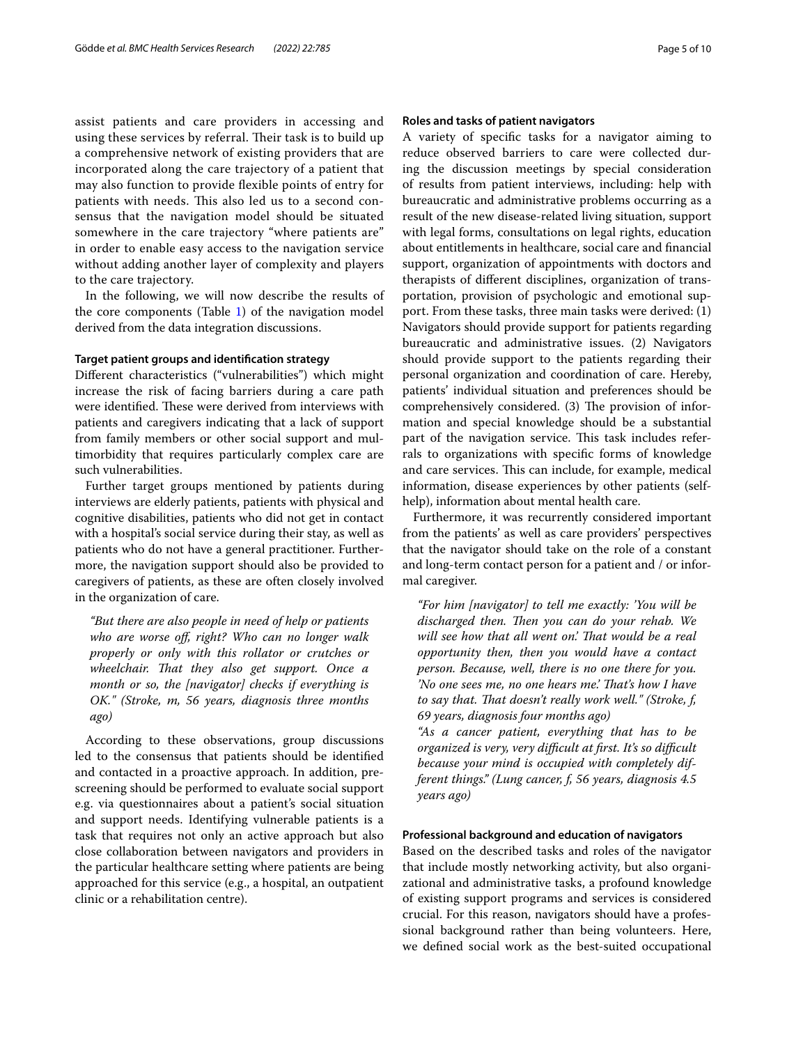assist patients and care providers in accessing and using these services by referral. Their task is to build up a comprehensive network of existing providers that are incorporated along the care trajectory of a patient that may also function to provide fexible points of entry for patients with needs. This also led us to a second consensus that the navigation model should be situated somewhere in the care trajectory "where patients are" in order to enable easy access to the navigation service without adding another layer of complexity and players to the care trajectory.

In the following, we will now describe the results of the core components (Table [1](#page-2-0)) of the navigation model derived from the data integration discussions.

## **Target patient groups and identifcation strategy**

Diferent characteristics ("vulnerabilities") which might increase the risk of facing barriers during a care path were identified. These were derived from interviews with patients and caregivers indicating that a lack of support from family members or other social support and multimorbidity that requires particularly complex care are such vulnerabilities.

Further target groups mentioned by patients during interviews are elderly patients, patients with physical and cognitive disabilities, patients who did not get in contact with a hospital's social service during their stay, as well as patients who do not have a general practitioner. Furthermore, the navigation support should also be provided to caregivers of patients, as these are often closely involved in the organization of care.

*"But there are also people in need of help or patients who are worse of, right? Who can no longer walk properly or only with this rollator or crutches or wheelchair. Tat they also get support. Once a month or so, the [navigator] checks if everything is OK." (Stroke, m, 56 years, diagnosis three months ago)*

According to these observations, group discussions led to the consensus that patients should be identifed and contacted in a proactive approach. In addition, prescreening should be performed to evaluate social support e.g. via questionnaires about a patient's social situation and support needs. Identifying vulnerable patients is a task that requires not only an active approach but also close collaboration between navigators and providers in the particular healthcare setting where patients are being approached for this service (e.g., a hospital, an outpatient clinic or a rehabilitation centre).

## **Roles and tasks of patient navigators**

A variety of specifc tasks for a navigator aiming to reduce observed barriers to care were collected during the discussion meetings by special consideration of results from patient interviews, including: help with bureaucratic and administrative problems occurring as a result of the new disease-related living situation, support with legal forms, consultations on legal rights, education about entitlements in healthcare, social care and fnancial support, organization of appointments with doctors and therapists of diferent disciplines, organization of transportation, provision of psychologic and emotional support. From these tasks, three main tasks were derived: (1) Navigators should provide support for patients regarding bureaucratic and administrative issues. (2) Navigators should provide support to the patients regarding their personal organization and coordination of care. Hereby, patients' individual situation and preferences should be comprehensively considered. (3) The provision of information and special knowledge should be a substantial part of the navigation service. This task includes referrals to organizations with specifc forms of knowledge and care services. This can include, for example, medical information, disease experiences by other patients (selfhelp), information about mental health care.

Furthermore, it was recurrently considered important from the patients' as well as care providers' perspectives that the navigator should take on the role of a constant and long-term contact person for a patient and / or informal caregiver.

*"For him [navigator] to tell me exactly: 'You will be*  discharged then. Then you can do your rehab. We *will see how that all went on.' That would be a real opportunity then, then you would have a contact person. Because, well, there is no one there for you. 'No one sees me, no one hears me.' Tat's how I have to say that. Tat doesn't really work well." (Stroke, f, 69 years, diagnosis four months ago)*

*"As a cancer patient, everything that has to be organized is very, very difcult at frst. It's so difcult because your mind is occupied with completely different things." (Lung cancer, f, 56 years, diagnosis 4.5 years ago)*

## **Professional background and education of navigators**

Based on the described tasks and roles of the navigator that include mostly networking activity, but also organizational and administrative tasks, a profound knowledge of existing support programs and services is considered crucial. For this reason, navigators should have a professional background rather than being volunteers. Here, we defned social work as the best-suited occupational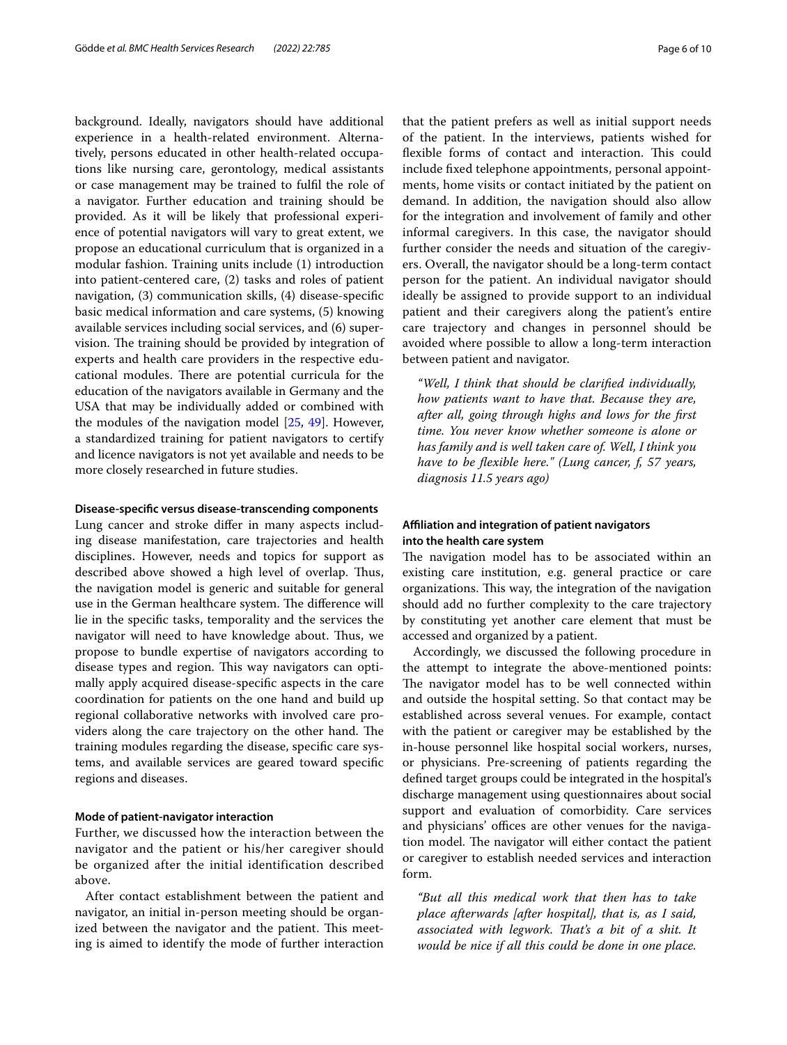background. Ideally, navigators should have additional experience in a health-related environment. Alternatively, persons educated in other health-related occupations like nursing care, gerontology, medical assistants or case management may be trained to fulfl the role of a navigator. Further education and training should be provided. As it will be likely that professional experience of potential navigators will vary to great extent, we propose an educational curriculum that is organized in a modular fashion. Training units include (1) introduction into patient-centered care, (2) tasks and roles of patient navigation, (3) communication skills, (4) disease-specifc basic medical information and care systems, (5) knowing available services including social services, and (6) supervision. The training should be provided by integration of experts and health care providers in the respective educational modules. There are potential curricula for the education of the navigators available in Germany and the USA that may be individually added or combined with the modules of the navigation model [[25,](#page-8-20) [49](#page-9-15)]. However, a standardized training for patient navigators to certify and licence navigators is not yet available and needs to be more closely researched in future studies.

#### **Disease‑specifc versus disease‑transcending components**

Lung cancer and stroke difer in many aspects including disease manifestation, care trajectories and health disciplines. However, needs and topics for support as described above showed a high level of overlap. Thus, the navigation model is generic and suitable for general use in the German healthcare system. The difference will lie in the specifc tasks, temporality and the services the navigator will need to have knowledge about. Thus, we propose to bundle expertise of navigators according to disease types and region. This way navigators can optimally apply acquired disease-specifc aspects in the care coordination for patients on the one hand and build up regional collaborative networks with involved care providers along the care trajectory on the other hand. The training modules regarding the disease, specifc care systems, and available services are geared toward specifc regions and diseases.

### **Mode of patient‑navigator interaction**

Further, we discussed how the interaction between the navigator and the patient or his/her caregiver should be organized after the initial identification described above.

After contact establishment between the patient and navigator, an initial in-person meeting should be organized between the navigator and the patient. This meeting is aimed to identify the mode of further interaction that the patient prefers as well as initial support needs of the patient. In the interviews, patients wished for flexible forms of contact and interaction. This could include fxed telephone appointments, personal appointments, home visits or contact initiated by the patient on demand. In addition, the navigation should also allow for the integration and involvement of family and other informal caregivers. In this case, the navigator should further consider the needs and situation of the caregivers. Overall, the navigator should be a long-term contact person for the patient. An individual navigator should ideally be assigned to provide support to an individual patient and their caregivers along the patient's entire care trajectory and changes in personnel should be avoided where possible to allow a long-term interaction between patient and navigator.

*"Well, I think that should be clarifed individually, how patients want to have that. Because they are, after all, going through highs and lows for the frst time. You never know whether someone is alone or has family and is well taken care of. Well, I think you have to be fexible here." (Lung cancer, f, 57 years, diagnosis 11.5 years ago)*

## **Afliation and integration of patient navigators into the health care system**

The navigation model has to be associated within an existing care institution, e.g. general practice or care organizations. This way, the integration of the navigation should add no further complexity to the care trajectory by constituting yet another care element that must be accessed and organized by a patient.

Accordingly, we discussed the following procedure in the attempt to integrate the above-mentioned points: The navigator model has to be well connected within and outside the hospital setting. So that contact may be established across several venues. For example, contact with the patient or caregiver may be established by the in-house personnel like hospital social workers, nurses, or physicians. Pre-screening of patients regarding the defned target groups could be integrated in the hospital's discharge management using questionnaires about social support and evaluation of comorbidity. Care services and physicians' offices are other venues for the navigation model. The navigator will either contact the patient or caregiver to establish needed services and interaction form.

*"But all this medical work that then has to take place afterwards [after hospital], that is, as I said, associated with legwork. Tat's a bit of a shit. It would be nice if all this could be done in one place.*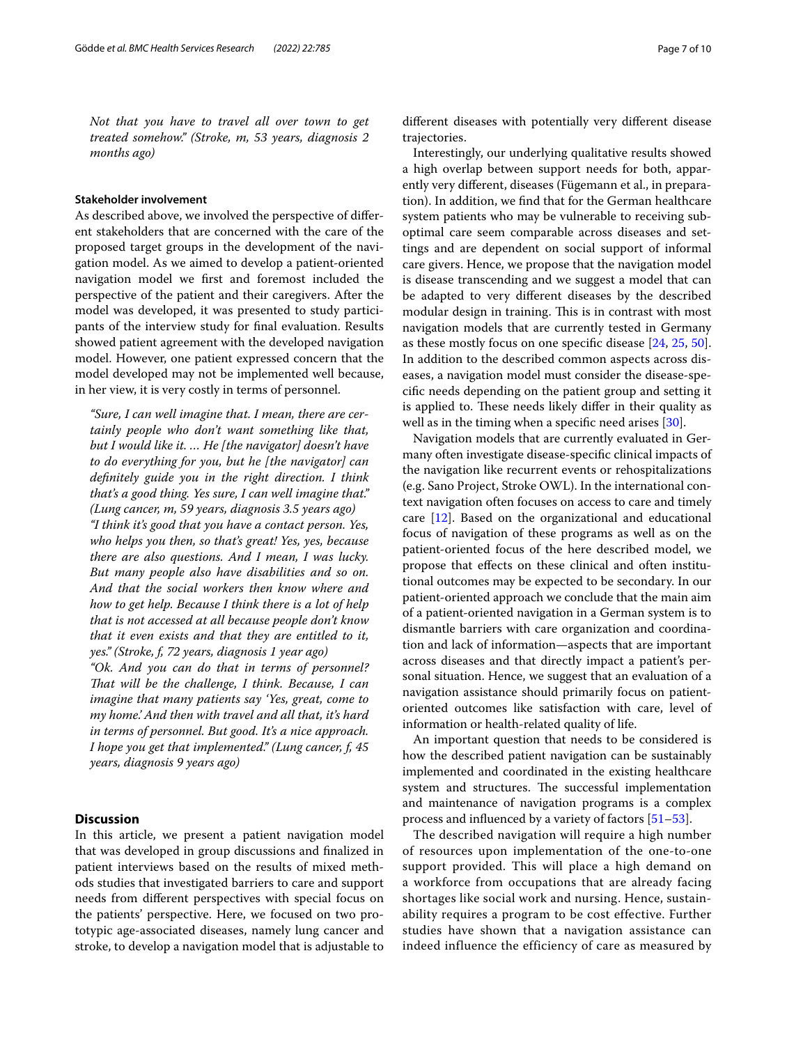*Not that you have to travel all over town to get treated somehow." (Stroke, m, 53 years, diagnosis 2 months ago)*

## **Stakeholder involvement**

As described above, we involved the perspective of diferent stakeholders that are concerned with the care of the proposed target groups in the development of the navigation model. As we aimed to develop a patient-oriented navigation model we frst and foremost included the perspective of the patient and their caregivers. After the model was developed, it was presented to study participants of the interview study for fnal evaluation. Results showed patient agreement with the developed navigation model. However, one patient expressed concern that the model developed may not be implemented well because, in her view, it is very costly in terms of personnel.

*"Sure, I can well imagine that. I mean, there are certainly people who don't want something like that, but I would like it. … He [the navigator] doesn't have to do everything for you, but he [the navigator] can defnitely guide you in the right direction. I think that's a good thing. Yes sure, I can well imagine that." (Lung cancer, m, 59 years, diagnosis 3.5 years ago) "I think it's good that you have a contact person. Yes, who helps you then, so that's great! Yes, yes, because there are also questions. And I mean, I was lucky. But many people also have disabilities and so on. And that the social workers then know where and how to get help. Because I think there is a lot of help that is not accessed at all because people don't know that it even exists and that they are entitled to it, yes." (Stroke, f, 72 years, diagnosis 1 year ago)*

*"Ok. And you can do that in terms of personnel? Tat will be the challenge, I think. Because, I can imagine that many patients say 'Yes, great, come to my home.' And then with travel and all that, it's hard in terms of personnel. But good. It's a nice approach. I hope you get that implemented." (Lung cancer, f, 45 years, diagnosis 9 years ago)*

## **Discussion**

In this article, we present a patient navigation model that was developed in group discussions and fnalized in patient interviews based on the results of mixed methods studies that investigated barriers to care and support needs from diferent perspectives with special focus on the patients' perspective. Here, we focused on two prototypic age-associated diseases, namely lung cancer and stroke, to develop a navigation model that is adjustable to diferent diseases with potentially very diferent disease trajectories.

Interestingly, our underlying qualitative results showed a high overlap between support needs for both, apparently very diferent, diseases (Fügemann et al., in preparation). In addition, we fnd that for the German healthcare system patients who may be vulnerable to receiving suboptimal care seem comparable across diseases and settings and are dependent on social support of informal care givers. Hence, we propose that the navigation model is disease transcending and we suggest a model that can be adapted to very diferent diseases by the described modular design in training. This is in contrast with most navigation models that are currently tested in Germany as these mostly focus on one specifc disease [[24,](#page-8-19) [25](#page-8-20), [50](#page-9-16)]. In addition to the described common aspects across diseases, a navigation model must consider the disease-specifc needs depending on the patient group and setting it is applied to. These needs likely differ in their quality as well as in the timing when a specifc need arises [\[30](#page-8-25)].

Navigation models that are currently evaluated in Germany often investigate disease-specifc clinical impacts of the navigation like recurrent events or rehospitalizations (e.g. Sano Project, Stroke OWL). In the international context navigation often focuses on access to care and timely care [\[12](#page-8-27)]. Based on the organizational and educational focus of navigation of these programs as well as on the patient-oriented focus of the here described model, we propose that efects on these clinical and often institutional outcomes may be expected to be secondary. In our patient-oriented approach we conclude that the main aim of a patient-oriented navigation in a German system is to dismantle barriers with care organization and coordination and lack of information—aspects that are important across diseases and that directly impact a patient's personal situation. Hence, we suggest that an evaluation of a navigation assistance should primarily focus on patientoriented outcomes like satisfaction with care, level of information or health-related quality of life.

An important question that needs to be considered is how the described patient navigation can be sustainably implemented and coordinated in the existing healthcare system and structures. The successful implementation and maintenance of navigation programs is a complex process and infuenced by a variety of factors [\[51–](#page-9-17)[53\]](#page-9-18).

The described navigation will require a high number of resources upon implementation of the one-to-one support provided. This will place a high demand on a workforce from occupations that are already facing shortages like social work and nursing. Hence, sustainability requires a program to be cost effective. Further studies have shown that a navigation assistance can indeed influence the efficiency of care as measured by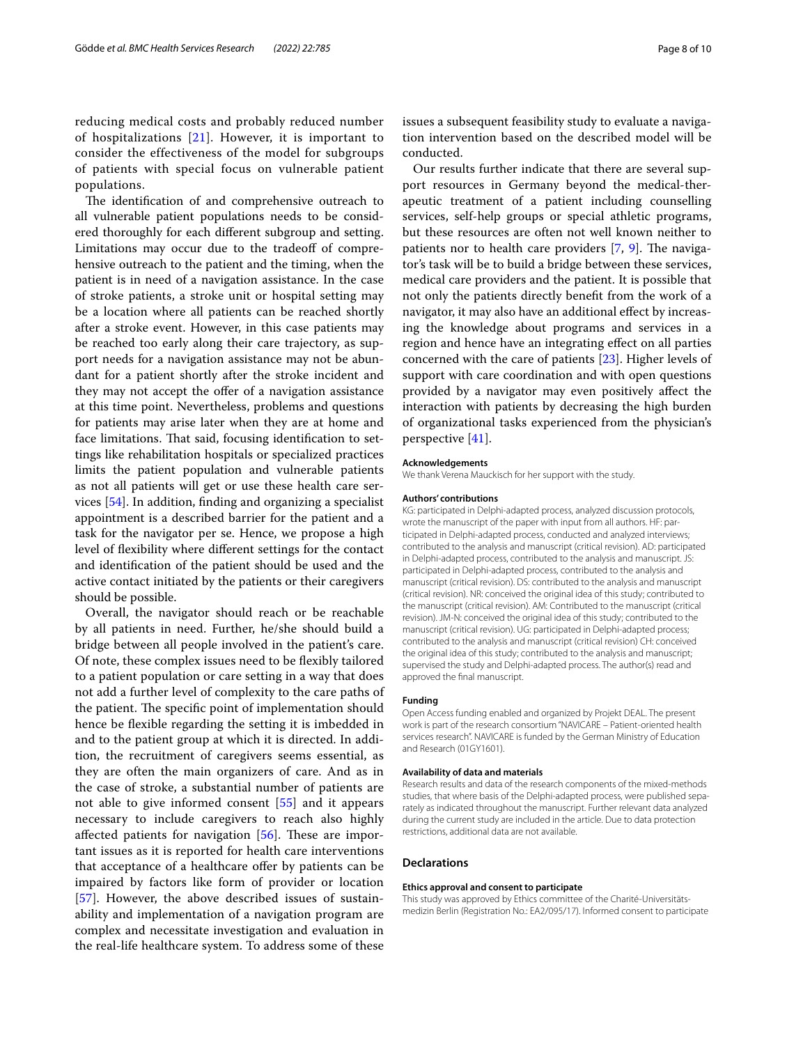reducing medical costs and probably reduced number of hospitalizations [[21\]](#page-8-16). However, it is important to consider the effectiveness of the model for subgroups of patients with special focus on vulnerable patient populations.

The identification of and comprehensive outreach to all vulnerable patient populations needs to be considered thoroughly for each diferent subgroup and setting. Limitations may occur due to the tradeoff of comprehensive outreach to the patient and the timing, when the patient is in need of a navigation assistance. In the case of stroke patients, a stroke unit or hospital setting may be a location where all patients can be reached shortly after a stroke event. However, in this case patients may be reached too early along their care trajectory, as support needs for a navigation assistance may not be abundant for a patient shortly after the stroke incident and they may not accept the offer of a navigation assistance at this time point. Nevertheless, problems and questions for patients may arise later when they are at home and face limitations. That said, focusing identification to settings like rehabilitation hospitals or specialized practices limits the patient population and vulnerable patients as not all patients will get or use these health care services [\[54](#page-9-19)]. In addition, fnding and organizing a specialist appointment is a described barrier for the patient and a task for the navigator per se. Hence, we propose a high level of fexibility where diferent settings for the contact and identifcation of the patient should be used and the active contact initiated by the patients or their caregivers should be possible.

Overall, the navigator should reach or be reachable by all patients in need. Further, he/she should build a bridge between all people involved in the patient's care. Of note, these complex issues need to be fexibly tailored to a patient population or care setting in a way that does not add a further level of complexity to the care paths of the patient. The specific point of implementation should hence be fexible regarding the setting it is imbedded in and to the patient group at which it is directed. In addition, the recruitment of caregivers seems essential, as they are often the main organizers of care. And as in the case of stroke, a substantial number of patients are not able to give informed consent [[55\]](#page-9-20) and it appears necessary to include caregivers to reach also highly affected patients for navigation  $[56]$  $[56]$ . These are important issues as it is reported for health care interventions that acceptance of a healthcare offer by patients can be impaired by factors like form of provider or location [[57\]](#page-9-22). However, the above described issues of sustainability and implementation of a navigation program are complex and necessitate investigation and evaluation in the real-life healthcare system. To address some of these issues a subsequent feasibility study to evaluate a navigation intervention based on the described model will be conducted.

Our results further indicate that there are several support resources in Germany beyond the medical-therapeutic treatment of a patient including counselling services, self-help groups or special athletic programs, but these resources are often not well known neither to patients nor to health care providers  $[7, 9]$  $[7, 9]$  $[7, 9]$ . The navigator's task will be to build a bridge between these services, medical care providers and the patient. It is possible that not only the patients directly beneft from the work of a navigator, it may also have an additional efect by increasing the knowledge about programs and services in a region and hence have an integrating efect on all parties concerned with the care of patients [\[23\]](#page-8-18). Higher levels of support with care coordination and with open questions provided by a navigator may even positively afect the interaction with patients by decreasing the high burden of organizational tasks experienced from the physician's perspective [[41\]](#page-9-23).

#### **Acknowledgements**

We thank Verena Mauckisch for her support with the study.

#### **Authors' contributions**

KG: participated in Delphi-adapted process, analyzed discussion protocols, wrote the manuscript of the paper with input from all authors. HF: participated in Delphi-adapted process, conducted and analyzed interviews; contributed to the analysis and manuscript (critical revision). AD: participated in Delphi-adapted process, contributed to the analysis and manuscript. JS: participated in Delphi-adapted process, contributed to the analysis and manuscript (critical revision). DS: contributed to the analysis and manuscript (critical revision). NR: conceived the original idea of this study; contributed to the manuscript (critical revision). AM: Contributed to the manuscript (critical revision). JM-N: conceived the original idea of this study; contributed to the manuscript (critical revision). UG: participated in Delphi-adapted process; contributed to the analysis and manuscript (critical revision) CH: conceived the original idea of this study; contributed to the analysis and manuscript; supervised the study and Delphi-adapted process. The author(s) read and approved the fnal manuscript.

#### **Funding**

Open Access funding enabled and organized by Projekt DEAL. The present work is part of the research consortium "NAVICARE – Patient-oriented health services research". NAVICARE is funded by the German Ministry of Education and Research (01GY1601).

#### **Availability of data and materials**

Research results and data of the research components of the mixed-methods studies, that where basis of the Delphi-adapted process, were published separately as indicated throughout the manuscript. Further relevant data analyzed during the current study are included in the article. Due to data protection restrictions, additional data are not available.

#### **Declarations**

## **Ethics approval and consent to participate**

This study was approved by Ethics committee of the Charité-Universitätsmedizin Berlin (Registration No.: EA2/095/17). Informed consent to participate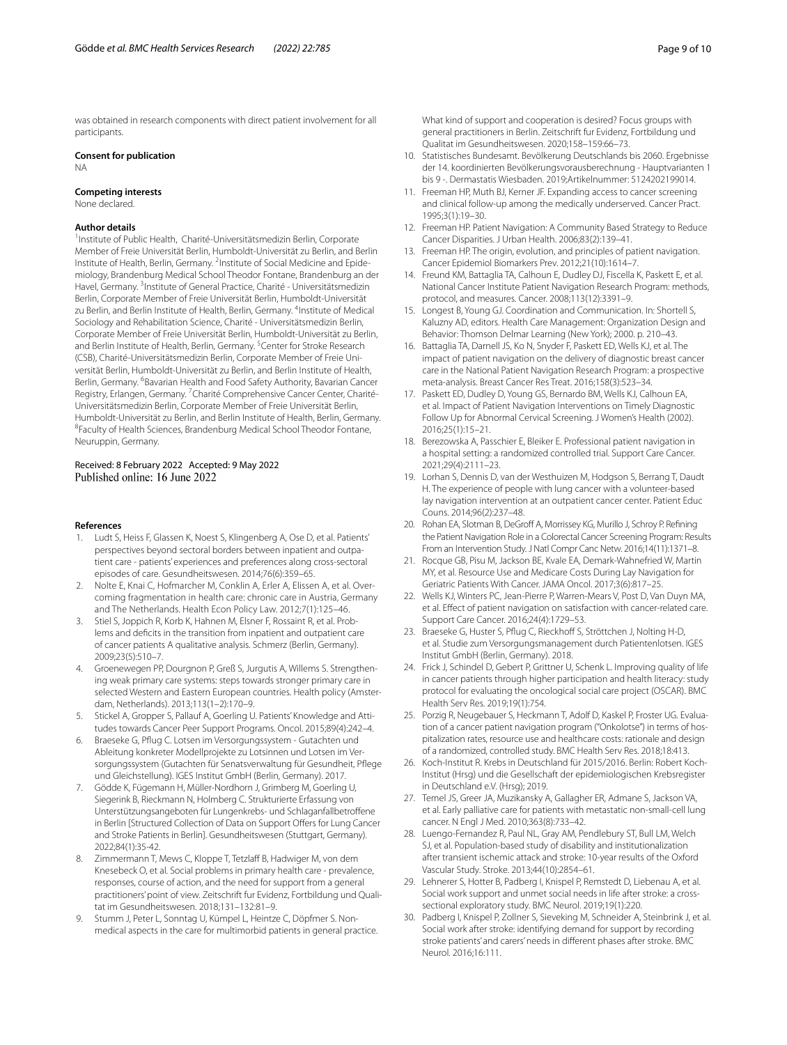was obtained in research components with direct patient involvement for all participants.

## **Consent for publication**

NA

#### **Competing interests**

None declared.

#### **Author details**

<sup>1</sup> Institute of Public Health, Charité-Universitätsmedizin Berlin, Corporate Member of Freie Universität Berlin, Humboldt-Universität zu Berlin, and Berlin Institute of Health, Berlin, Germany. <sup>2</sup>Institute of Social Medicine and Epidemiology, Brandenburg Medical School Theodor Fontane, Brandenburg an der Havel, Germany. <sup>3</sup> Institute of General Practice, Charité - Universitätsmedizin Berlin, Corporate Member of Freie Universität Berlin, Humboldt-Universität zu Berlin, and Berlin Institute of Health, Berlin, Germany. <sup>4</sup>Institute of Medical Sociology and Rehabilitation Science, Charité - Universitätsmedizin Berlin, Corporate Member of Freie Universität Berlin, Humboldt-Universität zu Berlin, and Berlin Institute of Health, Berlin, Germany. <sup>5</sup> Center for Stroke Research (CSB), Charité-Universitätsmedizin Berlin, Corporate Member of Freie Uni‑ versität Berlin, Humboldt-Universität zu Berlin, and Berlin Institute of Health, Berlin, Germany. <sup>6</sup>Bavarian Health and Food Safety Authority, Bavarian Cancer Registry, Erlangen, Germany. <sup>7</sup> Charité Comprehensive Cancer Center, Charité-Universitätsmedizin Berlin, Corporate Member of Freie Universität Berlin, Humboldt-Universität zu Berlin, and Berlin Institute of Health, Berlin, Germany. 8 Faculty of Health Sciences, Brandenburg Medical School Theodor Fontane, Neuruppin, Germany.

# Received: 8 February 2022 Accepted: 9 May 2022<br>Published online: 16 June 2022

#### **References**

- <span id="page-8-0"></span>1. Ludt S, Heiss F, Glassen K, Noest S, Klingenberg A, Ose D, et al. Patients' perspectives beyond sectoral borders between inpatient and outpatient care - patients' experiences and preferences along cross-sectoral episodes of care. Gesundheitswesen. 2014;76(6):359–65.
- 2. Nolte E, Knai C, Hofmarcher M, Conklin A, Erler A, Elissen A, et al. Overcoming fragmentation in health care: chronic care in Austria, Germany and The Netherlands. Health Econ Policy Law. 2012;7(1):125–46.
- <span id="page-8-1"></span>3. Stiel S, Joppich R, Korb K, Hahnen M, Elsner F, Rossaint R, et al. Problems and defcits in the transition from inpatient and outpatient care of cancer patients A qualitative analysis. Schmerz (Berlin, Germany). 2009;23(5):510–7.
- <span id="page-8-2"></span>4. Groenewegen PP, Dourgnon P, Greß S, Jurgutis A, Willems S. Strengthening weak primary care systems: steps towards stronger primary care in selected Western and Eastern European countries. Health policy (Amsterdam, Netherlands). 2013;113(1–2):170–9.
- <span id="page-8-3"></span>5. Stickel A, Gropper S, Pallauf A, Goerling U. Patients' Knowledge and Attitudes towards Cancer Peer Support Programs. Oncol. 2015;89(4):242–4.
- 6. Braeseke G, Pfug C. Lotsen im Versorgungssystem Gutachten und Ableitung konkreter Modellprojekte zu Lotsinnen und Lotsen im Ver‑ sorgungssystem (Gutachten für Senatsverwaltung für Gesundheit, Pfege und Gleichstellung). IGES Institut GmbH (Berlin, Germany). 2017.
- <span id="page-8-26"></span>7. Gödde K, Fügemann H, Müller-Nordhorn J, Grimberg M, Goerling U, Siegerink B, Rieckmann N, Holmberg C. Strukturierte Erfassung von Unterstützungsangeboten für Lungenkrebs- und Schlaganfallbetrofene in Berlin [Structured Collection of Data on Support Offers for Lung Cancer and Stroke Patients in Berlin]. Gesundheitswesen (Stuttgart, Germany). 2022;84(1):35-42.
- <span id="page-8-4"></span>8. Zimmermann T, Mews C, Kloppe T, Tetzlaff B, Hadwiger M, von dem Knesebeck O, et al. Social problems in primary health care - prevalence, responses, course of action, and the need for support from a general practitioners' point of view. Zeitschrift fur Evidenz, Fortbildung und Qualitat im Gesundheitswesen. 2018;131–132:81–9.
- <span id="page-8-5"></span>9. Stumm J, Peter L, Sonntag U, Kümpel L, Heintze C, Döpfmer S. Nonmedical aspects in the care for multimorbid patients in general practice.

What kind of support and cooperation is desired? Focus groups with general practitioners in Berlin. Zeitschrift fur Evidenz, Fortbildung und Qualitat im Gesundheitswesen. 2020;158–159:66–73.

- <span id="page-8-6"></span>10. Statistisches Bundesamt. Bevölkerung Deutschlands bis 2060. Ergebnisse der 14. koordinierten Bevölkerungsvorausberechnung - Hauptvarianten 1 bis 9 -. Dermastatis Wiesbaden. 2019;Artikelnummer: 5124202199014.
- <span id="page-8-7"></span>11. Freeman HP, Muth BJ, Kerner JF. Expanding access to cancer screening and clinical follow-up among the medically underserved. Cancer Pract. 1995;3(1):19–30.
- <span id="page-8-27"></span>12. Freeman HP. Patient Navigation: A Community Based Strategy to Reduce Cancer Disparities. J Urban Health. 2006;83(2):139–41.
- <span id="page-8-8"></span>13. Freeman HP. The origin, evolution, and principles of patient navigation. Cancer Epidemiol Biomarkers Prev. 2012;21(10):1614–7.
- <span id="page-8-9"></span>14. Freund KM, Battaglia TA, Calhoun E, Dudley DJ, Fiscella K, Paskett E, et al. National Cancer Institute Patient Navigation Research Program: methods, protocol, and measures. Cancer. 2008;113(12):3391–9.
- <span id="page-8-10"></span>15. Longest B, Young GJ. Coordination and Communication. In: Shortell S, Kaluzny AD, editors. Health Care Management: Organization Design and Behavior: Thomson Delmar Learning (New York); 2000. p. 210–43.
- <span id="page-8-11"></span>16. Battaglia TA, Darnell JS, Ko N, Snyder F, Paskett ED, Wells KJ, et al. The impact of patient navigation on the delivery of diagnostic breast cancer care in the National Patient Navigation Research Program: a prospective meta-analysis. Breast Cancer Res Treat. 2016;158(3):523–34.
- <span id="page-8-12"></span>17. Paskett ED, Dudley D, Young GS, Bernardo BM, Wells KJ, Calhoun EA, et al. Impact of Patient Navigation Interventions on Timely Diagnostic Follow Up for Abnormal Cervical Screening. J Women's Health (2002). 2016;25(1):15–21.
- <span id="page-8-13"></span>18. Berezowska A, Passchier E, Bleiker E. Professional patient navigation in a hospital setting: a randomized controlled trial. Support Care Cancer. 2021;29(4):2111–23.
- <span id="page-8-14"></span>19. Lorhan S, Dennis D, van der Westhuizen M, Hodgson S, Berrang T, Daudt H. The experience of people with lung cancer with a volunteer-based lay navigation intervention at an outpatient cancer center. Patient Educ Couns. 2014;96(2):237–48.
- <span id="page-8-15"></span>20. Rohan EA, Slotman B, DeGroff A, Morrissey KG, Murillo J, Schroy P. Refining the Patient Navigation Role in a Colorectal Cancer Screening Program: Results From an Intervention Study. J Natl Compr Canc Netw. 2016;14(11):1371–8.
- <span id="page-8-16"></span>21. Rocque GB, Pisu M, Jackson BE, Kvale EA, Demark-Wahnefried W, Martin MY, et al. Resource Use and Medicare Costs During Lay Navigation for Geriatric Patients With Cancer. JAMA Oncol. 2017;3(6):817–25.
- <span id="page-8-17"></span>22. Wells KJ, Winters PC, Jean-Pierre P, Warren-Mears V, Post D, Van Duyn MA, et al. Efect of patient navigation on satisfaction with cancer-related care. Support Care Cancer. 2016;24(4):1729–53.
- <span id="page-8-18"></span>23. Braeseke G, Huster S, Pflug C, Rieckhoff S, Ströttchen J, Nolting H-D, et al. Studie zum Versorgungsmanagement durch Patientenlotsen. IGES Institut GmbH (Berlin, Germany). 2018.
- <span id="page-8-19"></span>24. Frick J, Schindel D, Gebert P, Grittner U, Schenk L. Improving quality of life in cancer patients through higher participation and health literacy: study protocol for evaluating the oncological social care project (OSCAR). BMC Health Serv Res. 2019;19(1):754.
- <span id="page-8-20"></span>25. Porzig R, Neugebauer S, Heckmann T, Adolf D, Kaskel P, Froster UG. Evaluation of a cancer patient navigation program ("Onkolotse") in terms of hospitalization rates, resource use and healthcare costs: rationale and design of a randomized, controlled study. BMC Health Serv Res. 2018;18:413.
- <span id="page-8-21"></span>26. Koch-Institut R. Krebs in Deutschland für 2015/2016. Berlin: Robert Koch-Institut (Hrsg) und die Gesellschaft der epidemiologischen Krebsregister in Deutschland e.V. (Hrsg); 2019.
- <span id="page-8-22"></span>27. Temel JS, Greer JA, Muzikansky A, Gallagher ER, Admane S, Jackson VA, et al. Early palliative care for patients with metastatic non-small-cell lung cancer. N Engl J Med. 2010;363(8):733–42.
- <span id="page-8-23"></span>28. Luengo-Fernandez R, Paul NL, Gray AM, Pendlebury ST, Bull LM, Welch SJ, et al. Population-based study of disability and institutionalization after transient ischemic attack and stroke: 10-year results of the Oxford Vascular Study. Stroke. 2013;44(10):2854–61.
- <span id="page-8-24"></span>29. Lehnerer S, Hotter B, Padberg I, Knispel P, Remstedt D, Liebenau A, et al. Social work support and unmet social needs in life after stroke: a crosssectional exploratory study. BMC Neurol. 2019;19(1):220.
- <span id="page-8-25"></span>30. Padberg I, Knispel P, Zollner S, Sieveking M, Schneider A, Steinbrink J, et al. Social work after stroke: identifying demand for support by recording stroke patients' and carers' needs in diferent phases after stroke. BMC Neurol. 2016;16:111.